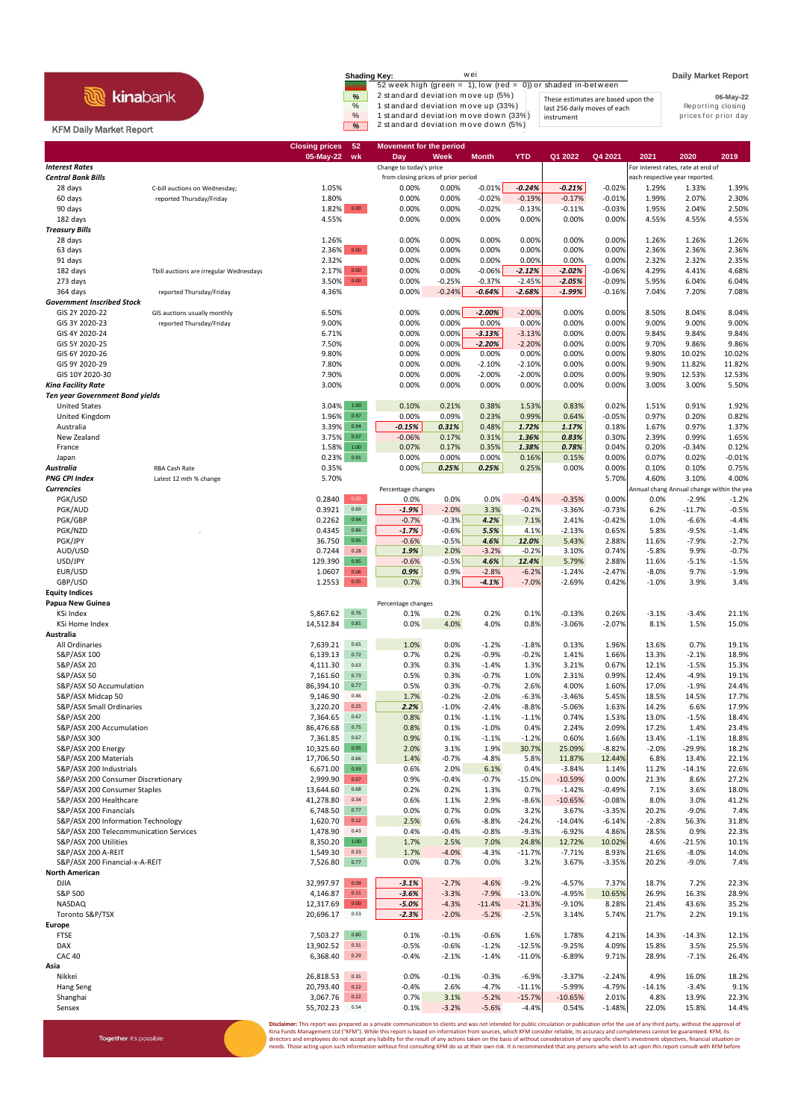## **R** kinabank

Together it's possible

## KFM Daily Market Report

| Shading Kev:  | wei                                                           |                                    | <b>Daily Market Report</b> |
|---------------|---------------------------------------------------------------|------------------------------------|----------------------------|
|               | 52 week high (green = 1), low (red = 0)) or shaded in-between |                                    |                            |
| $\frac{9}{6}$ | 2 standard deviation move up (5%)                             | These estimates are based upon the | 06-May-22                  |
| $\%$          | 1 standard deviation move up (33%)                            | last 256 daily moves of each       | Reporting closing          |
| $\%$          | 1 standard deviation move down (33%)                          | instrument                         | prices for prior day       |
| $\infty$      | 2 standard deviation move down (5%)                           |                                    |                            |

|                                                      |                                                           | 05-May-22<br>wk                        | Day                                 | Week            | <b>Month</b>         | <b>YTD</b>           | Q1 2022              | Q4 2021              | 2021             | 2020                                      | 2019              |
|------------------------------------------------------|-----------------------------------------------------------|----------------------------------------|-------------------------------------|-----------------|----------------------|----------------------|----------------------|----------------------|------------------|-------------------------------------------|-------------------|
| <b>Interest Rates</b>                                |                                                           |                                        | Change to today's price             |                 |                      |                      |                      |                      |                  | For interest rates, rate at end of        |                   |
| <b>Central Bank Bills</b>                            |                                                           |                                        | from closing prices of prior period |                 |                      |                      |                      |                      |                  | each respective year reported.            |                   |
| 28 days<br>60 days                                   | C-bill auctions on Wednesday;<br>reported Thursday/Friday | 1.05%<br>1.80%                         | 0.00%<br>0.00%                      | 0.00%<br>0.00%  | $-0.01%$<br>$-0.02%$ | $-0.24%$<br>$-0.19%$ | $-0.21%$<br>$-0.17%$ | $-0.02%$<br>$-0.01%$ | 1.29%<br>1.99%   | 1.33%<br>2.07%                            | 1.39%<br>2.30%    |
| 90 days                                              |                                                           | 0.00<br>1.82%                          | 0.00%                               | 0.00%           | $-0.02%$             | $-0.13%$             | $-0.11%$             | $-0.03%$             | 1.95%            | 2.04%                                     | 2.50%             |
| 182 days                                             |                                                           | 4.55%                                  | 0.00%                               | 0.00%           | 0.00%                | 0.00%                | 0.00%                | 0.00%                | 4.55%            | 4.55%                                     | 4.55%             |
| <b>Treasury Bills</b>                                |                                                           |                                        |                                     |                 |                      |                      |                      |                      |                  |                                           |                   |
| 28 days                                              |                                                           | 1.26%                                  | 0.00%                               | 0.00%           | 0.00%                | 0.00%                | 0.00%                | 0.00%                | 1.26%            | 1.26%                                     | 1.26%             |
| 63 days                                              |                                                           | 2.36% 0.00                             | 0.00%                               | 0.00%           | 0.00%                | 0.00%                | 0.00%                | 0.00%                | 2.36%            | 2.36%                                     | 2.36%             |
| 91 days                                              |                                                           | 2.32%                                  | 0.00%                               | 0.00%           | 0.00%                | 0.00%                | 0.00%                | 0.00%                | 2.32%            | 2.32%                                     | 2.35%             |
| 182 days                                             | Tbill auctions are irregular Wednesdays                   | 2.17%<br>0.00                          | 0.00%                               | 0.00%           | $-0.06%$             | $-2.12%$             | $-2.02%$             | $-0.06%$             | 4.29%            | 4.41%                                     | 4.68%             |
| 273 days                                             |                                                           | 3.50%<br>$0.00\,$                      | 0.00%                               | $-0.25%$        | $-0.37%$             | $-2.45%$             | $-2.05%$             | $-0.09%$             | 5.95%            | 6.04%                                     | 6.04%             |
| 364 days                                             | reported Thursday/Friday                                  | 4.36%                                  | 0.00%                               | $-0.24%$        | $-0.64%$             | $-2.68%$             | $-1.99%$             | $-0.16%$             | 7.04%            | 7.20%                                     | 7.08%             |
| <b>Government Inscribed Stock</b>                    |                                                           |                                        |                                     |                 |                      |                      |                      |                      |                  |                                           |                   |
| GIS 2Y 2020-22<br>GIS 3Y 2020-23                     | GIS auctions usually monthly<br>reported Thursday/Friday  | 6.50%<br>9.00%                         | 0.00%<br>0.00%                      | 0.00%<br>0.00%  | $-2.00%$<br>0.00%    | $-2.00%$<br>0.00%    | 0.00%<br>0.00%       | 0.00%<br>0.00%       | 8.50%<br>9.00%   | 8.04%<br>9.00%                            | 8.04%<br>9.00%    |
| GIS 4Y 2020-24                                       |                                                           | 6.71%                                  | 0.00%                               | 0.00%           | $-3.13%$             | $-3.13%$             | 0.00%                | 0.00%                | 9.84%            | 9.84%                                     | 9.84%             |
| GIS 5Y 2020-25                                       |                                                           | 7.50%                                  | 0.00%                               | 0.00%           | $-2.20%$             | $-2.20%$             | 0.00%                | 0.00%                | 9.70%            | 9.86%                                     | 9.86%             |
| GIS 6Y 2020-26                                       |                                                           | 9.80%                                  | 0.00%                               | 0.00%           | 0.00%                | 0.00%                | 0.00%                | 0.00%                | 9.80%            | 10.02%                                    | 10.02%            |
| GIS 9Y 2020-29                                       |                                                           | 7.80%                                  | 0.00%                               | 0.00%           | $-2.10%$             | $-2.10%$             | 0.00%                | 0.00%                | 9.90%            | 11.82%                                    | 11.82%            |
| GIS 10Y 2020-30                                      |                                                           | 7.90%                                  | 0.00%                               | 0.00%           | $-2.00%$             | $-2.00%$             | 0.00%                | 0.00%                | 9.90%            | 12.53%                                    | 12.53%            |
| <b>Kina Facility Rate</b>                            |                                                           | 3.00%                                  | 0.00%                               | 0.00%           | 0.00%                | 0.00%                | 0.00%                | 0.00%                | 3.00%            | 3.00%                                     | 5.50%             |
| <b>Ten year Government Bond yields</b>               |                                                           |                                        |                                     |                 |                      |                      |                      |                      |                  |                                           |                   |
| <b>United States</b>                                 |                                                           | 3.04%<br>$1.00\,$                      | 0.10%                               | 0.21%           | 0.38%                | 1.53%                | 0.83%                | 0.02%                | 1.51%            | 0.91%                                     | 1.92%             |
| United Kingdom                                       |                                                           | 1.96%<br>0.97                          | 0.00%                               | 0.09%           | 0.23%                | 0.99%                | 0.64%                | $-0.05%$             | 0.97%            | 0.20%                                     | 0.82%             |
| Australia                                            |                                                           | 3.39%<br>0.94                          | $-0.15%$                            | 0.31%           | 0.48%                | 1.72%                | 1.17%                | 0.18%                | 1.67%            | 0.97%                                     | 1.37%             |
| New Zealand                                          |                                                           | 3.75%<br>0.97                          | $-0.06%$                            | 0.17%           | 0.31%                | 1.36%                | 0.83%                | 0.30%                | 2.39%            | 0.99%                                     | 1.65%             |
| France                                               |                                                           | 1.58%<br>$1.00\,$<br>0.91              | 0.07%                               | 0.17%           | 0.35%                | 1.38%                | 0.78%                | 0.04%                | 0.20%            | $-0.34%$                                  | 0.12%             |
| Japan<br>Australia                                   | RBA Cash Rate                                             | 0.23%<br>0.35%                         | 0.00%<br>0.00%                      | 0.00%<br>0.25%  | 0.00%<br>0.25%       | 0.16%<br>0.25%       | 0.15%<br>0.00%       | 0.00%<br>0.00%       | 0.07%<br>0.10%   | 0.02%<br>0.10%                            | $-0.01%$<br>0.75% |
| <b>PNG CPI Index</b>                                 | Latest 12 mth % change                                    | 5.70%                                  |                                     |                 |                      |                      |                      | 5.70%                | 4.60%            | 3.10%                                     | 4.00%             |
| <b>Currencies</b>                                    |                                                           |                                        | Percentage changes                  |                 |                      |                      |                      |                      |                  | Annual chang Annual change within the yea |                   |
| PGK/USD                                              |                                                           | 0.2840<br>0.00                         | 0.0%                                | 0.0%            | 0.0%                 | $-0.4%$              | $-0.35%$             | 0.00%                | 0.0%             | $-2.9%$                                   | $-1.2%$           |
| PGK/AUD                                              |                                                           | 0.69<br>0.3921                         | $-1.9%$                             | $-2.0%$         | 3.3%                 | $-0.2%$              | $-3.36%$             | $-0.73%$             | 6.2%             | $-11.7%$                                  | $-0.5%$           |
| PGK/GBP                                              |                                                           | 0.2262<br>0.94                         | $-0.7%$                             | $-0.3%$         | 4.2%                 | 7.1%                 | 2.41%                | $-0.42%$             | 1.0%             | $-6.6%$                                   | $-4.4%$           |
| PGK/NZD                                              |                                                           | 0.4345<br>0.86                         | $-1.7%$                             | $-0.6%$         | 5.5%                 | 4.1%                 | $-2.13%$             | 0.65%                | 5.8%             | $-9.5%$                                   | $-1.4%$           |
| PGK/JPY                                              |                                                           | 36.750<br>0.95                         | $-0.6%$                             | $-0.5%$         | 4.6%                 | 12.0%                | 5.43%                | 2.88%                | 11.6%            | $-7.9%$                                   | $-2.7%$           |
| AUD/USD                                              |                                                           | 0.7244<br>0.28                         | 1.9%                                | 2.0%            | $-3.2%$              | $-0.2%$              | 3.10%                | 0.74%                | $-5.8%$          | 9.9%                                      | $-0.7%$           |
| USD/JPY                                              |                                                           | 129.390<br>0.95                        | $-0.6%$                             | $-0.5%$         | 4.6%                 | 12.4%                | 5.79%                | 2.88%                | 11.6%            | $-5.1%$                                   | $-1.5%$           |
| EUR/USD                                              |                                                           | 1.0607<br>0.06                         | 0.9%                                | 0.9%            | $-2.8%$              | $-6.2%$              | $-1.24%$             | $-2.47%$             | $-8.0%$          | 9.7%                                      | $-1.9%$           |
| GBP/USD                                              |                                                           | 1.2553<br>$0.05\,$                     | 0.7%                                | 0.3%            | $-4.1%$              | $-7.0%$              | $-2.69%$             | 0.42%                | $-1.0%$          | 3.9%                                      | 3.4%              |
| <b>Equity Indices</b><br>Papua New Guinea            |                                                           |                                        | Percentage changes                  |                 |                      |                      |                      |                      |                  |                                           |                   |
| KSi Index                                            |                                                           | 5,867.62<br>0.76                       | 0.1%                                | 0.2%            | 0.2%                 | 0.1%                 | $-0.13%$             | 0.26%                | $-3.1%$          | $-3.4%$                                   | 21.1%             |
| <b>KSi Home Index</b>                                |                                                           | 14,512.84<br>$\bf 0.81$                | 0.0%                                | 4.0%            | 4.0%                 | 0.8%                 | $-3.06%$             | $-2.07%$             | 8.1%             | 1.5%                                      | 15.0%             |
| Australia                                            |                                                           |                                        |                                     |                 |                      |                      |                      |                      |                  |                                           |                   |
| All Ordinaries                                       |                                                           | 0.65<br>7,639.21                       | 1.0%                                | 0.0%            | $-1.2%$              | $-1.8%$              | 0.13%                | 1.96%                | 13.6%            | 0.7%                                      | 19.1%             |
| S&P/ASX 100                                          |                                                           | 6,139.13<br>0.72                       | 0.7%                                | 0.2%            | $-0.9%$              | $-0.2%$              | 1.41%                | 1.66%                | 13.3%            | $-2.1%$                                   | 18.9%             |
| S&P/ASX 20                                           |                                                           | 0.63<br>4,111.30                       | 0.3%                                | 0.3%            | $-1.4%$              | 1.3%                 | 3.21%                | 0.67%                | 12.1%            | $-1.5%$                                   | 15.3%             |
| <b>S&amp;P/ASX 50</b>                                |                                                           | 7,161.60<br>0.73                       | 0.5%                                | 0.3%            | $-0.7%$              | 1.0%                 | 2.31%                | 0.99%                | 12.4%            | $-4.9%$                                   | 19.1%             |
| S&P/ASX 50 Accumulation                              |                                                           | 86,394.10<br>0.77                      | 0.5%                                | 0.3%            | $-0.7%$              | 2.6%                 | 4.00%                | 1.60%                | 17.0%            | $-1.9%$                                   | 24.4%             |
| S&P/ASX Midcap 50                                    |                                                           | 9,146.90<br>0.46                       | 1.7%                                | $-0.2%$         | $-2.0%$              | $-6.3%$              | $-3.46%$             | 5.45%                | 18.5%            | 14.5%                                     | 17.7%             |
| S&P/ASX Small Ordinaries                             |                                                           | 3,220.20<br>0.25                       | 2.2%                                | $-1.0%$         | $-2.4%$              | $-8.8%$              | $-5.06%$             | 1.63%                | 14.2%            | 6.6%                                      | 17.9%             |
| S&P/ASX 200                                          |                                                           | 0.67<br>7,364.65<br>0.75               | 0.8%<br>0.8%                        | 0.1%<br>0.1%    | $-1.1%$<br>$-1.0%$   | $-1.1%$<br>0.4%      | 0.74%<br>2.24%       | 1.53%                | 13.0%            | $-1.5%$<br>1.4%                           | 18.4%<br>23.4%    |
| S&P/ASX 200 Accumulation<br>S&P/ASX 300              |                                                           | 86,476.68<br>7,361.85<br>0.67          | 0.9%                                | 0.1%            | $-1.1%$              | $-1.2%$              | 0.60%                | 2.09%<br>1.66%       | 17.2%<br>13.4%   | $-1.1%$                                   | 18.8%             |
| S&P/ASX 200 Energy                                   |                                                           | 10,325.60<br>0.95 <sub>1</sub>         | 2.0%                                | 3.1%            | 1.9%                 | 30.7%                | 25.09%               | $-8.82%$             | $-2.0%$          | -29.9%                                    | 18.2%             |
| S&P/ASX 200 Materials                                |                                                           | 17,706.50<br>0.66                      | 1.4%                                | $-0.7%$         | $-4.8%$              | 5.8%                 | 11.87%               | 12.44%               | 6.8%             | 13.4%                                     | 22.1%             |
| S&P/ASX 200 Industrials                              |                                                           | 6,671.00<br>0.93                       | 0.6%                                | 2.0%            | 6.1%                 | 0.4%                 | $-3.84%$             | 1.14%                | 11.2%            | $-14.1%$                                  | 22.6%             |
| S&P/ASX 200 Consumer Discretionary                   |                                                           | 2,999.90<br>0.07                       | 0.9%                                | $-0.4%$         | $-0.7%$              | $-15.0%$             | $-10.59%$            | 0.00%                | 21.3%            | 8.6%                                      | 27.2%             |
| S&P/ASX 200 Consumer Staples                         |                                                           | 13,644.60<br>0.68                      | 0.2%                                | 0.2%            | 1.3%                 | 0.7%                 | $-1.42%$             | $-0.49%$             | 7.1%             | 3.6%                                      | 18.0%             |
| S&P/ASX 200 Healthcare                               |                                                           | 41,278.80<br>0.34                      | 0.6%                                | 1.1%            | 2.9%                 | $-8.6%$              | $-10.65%$            | $-0.08%$             | 8.0%             | 3.0%                                      | 41.2%             |
| S&P/ASX 200 Financials                               |                                                           | 6,748.50<br>0.77                       | 0.0%                                | 0.7%            | 0.0%                 | 3.2%                 | 3.67%                | $-3.35%$             | 20.2%            | $-9.0%$                                   | 7.4%              |
| S&P/ASX 200 Information Technology                   |                                                           | 1,620.70<br>0.12                       | 2.5%                                | 0.6%            | $-8.8%$              | -24.2%               | $-14.04%$            | $-6.14%$             | $-2.8%$          | 56.3%                                     | 31.8%             |
| S&P/ASX 200 Telecommunication Services               |                                                           | 1,478.90<br>0.43                       | 0.4%                                | $-0.4%$         | $-0.8%$              | $-9.3%$              | $-6.92%$             | 4.86%                | 28.5%            | 0.9%                                      | 22.3%             |
| S&P/ASX 200 Utilities                                |                                                           | 8,350.20<br>$1.00\,$<br>0.33           | 1.7%                                | 2.5%            | 7.0%                 | 24.8%                | 12.72%               | 10.02%               | 4.6%             | $-21.5%$                                  | 10.1%             |
| S&P/ASX 200 A-REIT<br>S&P/ASX 200 Financial-x-A-REIT |                                                           | 1,549.30<br>7,526.80<br>0.77           | 1.7%<br>0.0%                        | $-4.0%$<br>0.7% | $-4.3%$<br>0.0%      | $-11.7%$<br>3.2%     | $-7.71%$<br>3.67%    | 8.93%<br>$-3.35%$    | 21.6%<br>20.2%   | $-8.0%$<br>$-9.0%$                        | 14.0%<br>7.4%     |
| <b>North American</b>                                |                                                           |                                        |                                     |                 |                      |                      |                      |                      |                  |                                           |                   |
| <b>DJIA</b>                                          |                                                           | 32,997.97<br>0.09                      | $-3.1%$                             | $-2.7%$         | $-4.6%$              | $-9.2%$              | $-4.57%$             | 7.37%                | 18.7%            | 7.2%                                      | 22.3%             |
| S&P 500                                              |                                                           | 4,146.87<br>0.11                       | $-3.6%$                             | $-3.3%$         | $-7.9%$              | $-13.0%$             | $-4.95%$             | 10.65%               | 26.9%            | 16.3%                                     | 28.9%             |
| NASDAQ                                               |                                                           | 12,317.69<br>0.00                      | $-5.0%$                             | $-4.3%$         | $-11.4%$             | $-21.3%$             | $-9.10%$             | 8.28%                | 21.4%            | 43.6%                                     | 35.2%             |
| Toronto S&P/TSX                                      |                                                           | 20,696.17<br>0.53                      | $-2.3%$                             | $-2.0%$         | $-5.2%$              | $-2.5%$              | 3.14%                | 5.74%                | 21.7%            | 2.2%                                      | 19.1%             |
| Europe                                               |                                                           |                                        |                                     |                 |                      |                      |                      |                      |                  |                                           |                   |
| <b>FTSE</b>                                          |                                                           | 7,503.27<br>$0.80\,$                   | 0.1%                                | $-0.1%$         | $-0.6%$              | 1.6%                 | 1.78%                | 4.21%                | 14.3%            | $-14.3%$                                  | 12.1%             |
| DAX                                                  |                                                           | 13,902.52<br>0.31                      | $-0.5%$                             | $-0.6%$         | $-1.2%$              | $-12.5%$             | $-9.25%$             | 4.09%                | 15.8%            | 3.5%                                      | 25.5%             |
| <b>CAC 40</b>                                        |                                                           | 6,368.40<br>0.29                       | $-0.4%$                             | $-2.1%$         | $-1.4%$              | $-11.0%$             | $-6.89%$             | 9.71%                | 28.9%            | $-7.1%$                                   | 26.4%             |
| Asia                                                 |                                                           |                                        |                                     |                 |                      |                      |                      |                      |                  |                                           |                   |
| Nikkei<br>Hang Seng                                  |                                                           | 26,818.53<br>0.35<br>20,793.40<br>0.22 | 0.0%<br>$-0.4%$                     | $-0.1%$<br>2.6% | $-0.3%$<br>$-4.7%$   | $-6.9%$<br>$-11.1%$  | $-3.37%$<br>$-5.99%$ | $-2.24%$<br>$-4.79%$ | 4.9%<br>$-14.1%$ | 16.0%<br>$-3.4%$                          | 18.2%<br>9.1%     |
| Shanghai                                             |                                                           | 3,067.76<br>0.22                       | 0.7%                                | 3.1%            | $-5.2%$              | $-15.7%$             | $-10.65%$            | 2.01%                | 4.8%             | 13.9%                                     | 22.3%             |
| Sensex                                               |                                                           | 55,702.23<br>0.54                      | 0.1%                                | $-3.2%$         | $-5.6%$              | $-4.4%$              | 0.54%                | $-1.48%$             | 22.0%            | 15.8%                                     | 14.4%             |
|                                                      |                                                           |                                        |                                     |                 |                      |                      |                      |                      |                  |                                           |                   |

**Closing prices 52 Movement for the period**

**Disclaimer**: This report was prepared as a private communication to clients and was not intended for public circulation or publication orfor the use of any third party, without the approval of<br>Kina Funds Management Ltd ("